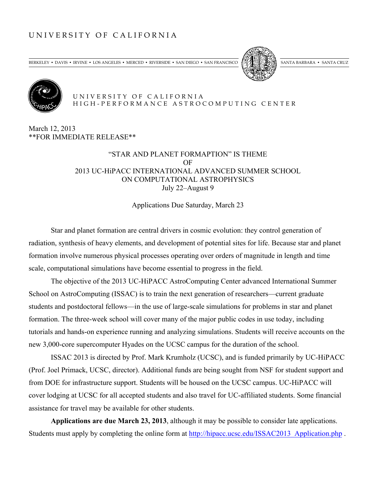# UNIVERSITY OF CALIFORNIA

BERKELEY • DAVIS • IRVINE • LOS ANGELES • MERCED • RIVERSIDE • SAN DIEGO • SAN FRANCISCO (SAMERIN) SANTA BARBARA • SANTA CRUZ





#### UNIVERSITY OF CALIFORNIA HIGH - PERFORMANCE ASTROCOMPUTING CENTER

March 12, 2013 \*\*FOR IMMEDIATE RELEASE\*\*

## "STAR AND PLANET FORMAPTION" IS THEME OF 2013 UC-HiPACC INTERNATIONAL ADVANCED SUMMER SCHOOL ON COMPUTATIONAL ASTROPHYSICS July 22–August 9

Applications Due Saturday, March 23

Star and planet formation are central drivers in cosmic evolution: they control generation of radiation, synthesis of heavy elements, and development of potential sites for life. Because star and planet formation involve numerous physical processes operating over orders of magnitude in length and time scale, computational simulations have become essential to progress in the field.

The objective of the 2013 UC-HiPACC AstroComputing Center advanced International Summer School on AstroComputing (ISSAC) is to train the next generation of researchers—current graduate students and postdoctoral fellows—in the use of large-scale simulations for problems in star and planet formation. The three-week school will cover many of the major public codes in use today, including tutorials and hands-on experience running and analyzing simulations. Students will receive accounts on the new 3,000-core supercomputer Hyades on the UCSC campus for the duration of the school.

ISSAC 2013 is directed by Prof. Mark Krumholz (UCSC), and is funded primarily by UC-HiPACC (Prof. Joel Primack, UCSC, director). Additional funds are being sought from NSF for student support and from DOE for infrastructure support. Students will be housed on the UCSC campus. UC-HiPACC will cover lodging at UCSC for all accepted students and also travel for UC-affiliated students. Some financial assistance for travel may be available for other students.

**Applications are due March 23, 2013**, although it may be possible to consider late applications. Students must apply by completing the online form at http://hipacc.ucsc.edu/ISSAC2013\_Application.php .